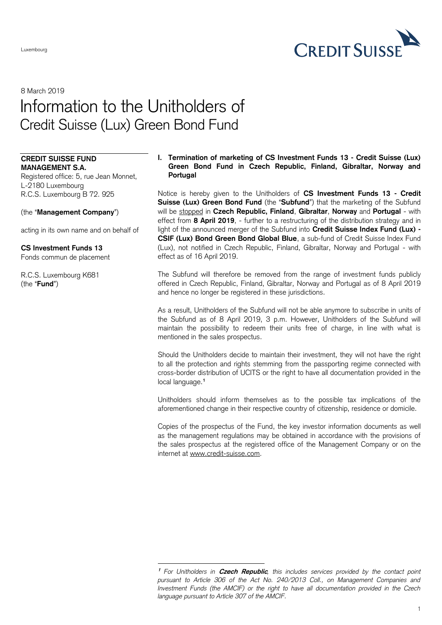

# 8 March 2019 Information to the Unitholders of Credit Suisse (Lux) Green Bond Fund

-

#### **CREDIT SUISSE FUND MANAGEMENT S.A.**

Registered office: 5, rue Jean Monnet, L-2180 Luxembourg R.C.S. Luxembourg B 72. 925

## (the "**Management Company**")

acting in its own name and on behalf of

## **CS Investment Funds 13**

Fonds commun de placement

R.C.S. Luxembourg K681 (the "**Fund**")

#### **I. Termination of marketing of CS Investment Funds 13 - Credit Suisse (Lux) Green Bond Fund in Czech Republic, Finland, Gibraltar, Norway and Portugal**

Notice is hereby given to the Unitholders of **CS Investment Funds 13 - Credit Suisse (Lux) Green Bond Fund** (the "**Subfund**") that the marketing of the Subfund will be stopped in **Czech Republic, Finland**, **Gibraltar**, **Norway** and **Portugal** - with effect from **8 April 2019**, - further to a restructuring of the distribution strategy and in light of the announced merger of the Subfund into **Credit Suisse Index Fund (Lux) - CSIF (Lux) Bond Green Bond Global Blue**, a sub-fund of Credit Suisse Index Fund (Lux), not notified in Czech Republic, Finland, Gibraltar, Norway and Portugal - with effect as of 16 April 2019.

The Subfund will therefore be removed from the range of investment funds publicly offered in Czech Republic, Finland, Gibraltar, Norway and Portugal as of 8 April 2019 and hence no longer be registered in these jurisdictions.

As a result, Unitholders of the Subfund will not be able anymore to subscribe in units of the Subfund as of 8 April 2019, 3 p.m. However, Unitholders of the Subfund will maintain the possibility to redeem their units free of charge, in line with what is mentioned in the sales prospectus.

Should the Unitholders decide to maintain their investment, they will not have the right to all the protection and rights stemming from the passporting regime connected with cross-border distribution of UCITS or the right to have all documentation provided in the local language.**<sup>1</sup>**

Unitholders should inform themselves as to the possible tax implications of the aforementioned change in their respective country of citizenship, residence or domicile.

Copies of the prospectus of the Fund, the key investor information documents as well as the management regulations may be obtained in accordance with the provisions of the sales prospectus at the registered office of the Management Company or on the internet at [www.credit-suisse.com.](http://www.credit-suisse.com/)

**<sup>1</sup>** *For Unitholders in* **Czech Republic***, this includes services provided by the contact point pursuant to Article 306 of the Act No. 240/2013 Coll., on Management Companies and Investment Funds (the AMCIF) or the right to have all documentation provided in the Czech language pursuant to Article 307 of the AMCIF.*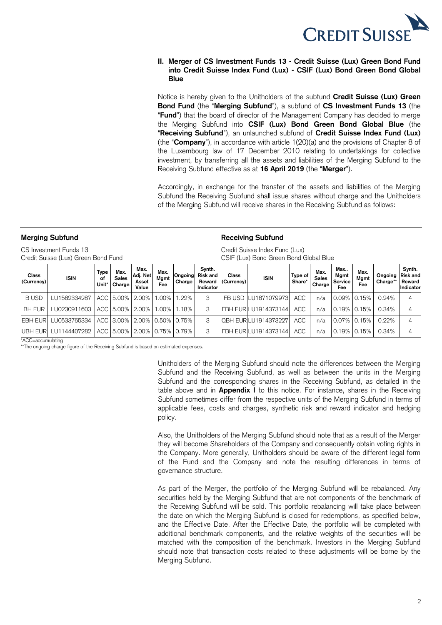

### **II. Merger of CS Investment Funds 13 - Credit Suisse (Lux) Green Bond Fund into Credit Suisse Index Fund (Lux) - CSIF (Lux) Bond Green Bond Global Blue**

Notice is hereby given to the Unitholders of the subfund **Credit Suisse (Lux) Green Bond Fund** (the "**Merging Subfund**"), a subfund of **CS Investment Funds 13** (the "**Fund**") that the board of director of the Management Company has decided to merge the Merging Subfund into **CSIF (Lux) Bond Green Bond Global Blue** (the "**Receiving Subfund**"), an unlaunched subfund of **Credit Suisse Index Fund (Lux)** (the "**Company**"), in accordance with article 1(20)(a) and the provisions of Chapter 8 of the Luxembourg law of 17 December 2010 relating to undertakings for collective investment, by transferring all the assets and liabilities of the Merging Subfund to the Receiving Subfund effective as at **16 April 2019** (the "**Merger**").

Accordingly, in exchange for the transfer of the assets and liabilities of the Merging Subfund the Receiving Subfund shall issue shares without charge and the Unitholders of the Merging Subfund will receive shares in the Receiving Subfund as follows:

| <b>Merging Subfund</b>                                        |              |                            |                                |                                    |                     |                                                                          | <b>Receiving Subfund</b>                         |                            |                             |                   |                                |                               |                     |                     |                                                  |
|---------------------------------------------------------------|--------------|----------------------------|--------------------------------|------------------------------------|---------------------|--------------------------------------------------------------------------|--------------------------------------------------|----------------------------|-----------------------------|-------------------|--------------------------------|-------------------------------|---------------------|---------------------|--------------------------------------------------|
| CS Investment Funds 13<br>Credit Suisse (Lux) Green Bond Fund |              |                            |                                |                                    |                     | Credit Suisse Index Fund (Lux)<br>CSIF (Lux) Bond Green Bond Global Blue |                                                  |                            |                             |                   |                                |                               |                     |                     |                                                  |
| Class<br>(Currency)                                           | <b>ISIN</b>  | <b>Type</b><br>οf<br>Unit* | Max.<br><b>Sales</b><br>Charge | Max.<br>Adj. Net<br>Asset<br>Value | Max.<br>Mgmt<br>Fee | Ongoing<br>Charge                                                        | Synth.<br><b>Risk and</b><br>Reward<br>Indicator | <b>Class</b><br>(Currency) | <b>ISIN</b>                 | Type of<br>Share* | Max.<br><b>Sales</b><br>Charge | Max<br>Mgmt<br>Service<br>Fee | Max.<br>Mgmt<br>Fee | Ongoing<br>Charge** | Synth.<br><b>Risk and</b><br>Reward<br>Indicator |
| <b>BUSD</b>                                                   | LU1582334287 |                            |                                | ACC 5.00% 2.00%                    | $.00\%$             | $.22\%$                                                                  | 3                                                |                            | FB USD LU1871079973         | <b>ACC</b>        | n/a                            |                               | $0.09\%$ 0.15%      | 0.24%               | 4                                                |
| <b>BH EUR</b>                                                 | LU0230911603 |                            |                                | ACC 5.00% 2.00%                    | 1.00%               | 1.18%                                                                    | 3                                                |                            | <b>FBH EURILU1914373144</b> | <b>ACC</b>        | n/a                            | $0.19\%$ $0.15\%$             |                     | 0.34%               | 4                                                |
| <b>EBH EUR</b>                                                | LU0533765334 |                            |                                | ACC 3.00% 2.00% 0.50% 0.75%        |                     |                                                                          | 3                                                |                            | <b>QBH EURILU1914373227</b> | <b>ACC</b>        | n/a                            | 0.07% 0.15%                   |                     | 0.22%               | 4                                                |
| <b>UBH EUR</b>                                                | LU1144407282 |                            |                                | ACC 5.00% 2.00% 0.75% 0.79%        |                     |                                                                          | 3                                                |                            | FBH EUR LU1914373144        | <b>ACC</b>        | n/a                            | $0.19\%$ $0.15\%$             |                     | 0.34%               | 4                                                |

\*ACC=accumulating

\*\*The ongoing charge figure of the Receiving Subfund is based on estimated expenses.

Unitholders of the Merging Subfund should note the differences between the Merging Subfund and the Receiving Subfund, as well as between the units in the Merging Subfund and the corresponding shares in the Receiving Subfund, as detailed in the table above and in **Appendix I** to this notice. For instance, shares in the Receiving Subfund sometimes differ from the respective units of the Merging Subfund in terms of applicable fees, costs and charges, synthetic risk and reward indicator and hedging policy.

Also, the Unitholders of the Merging Subfund should note that as a result of the Merger they will become Shareholders of the Company and consequently obtain voting rights in the Company. More generally, Unitholders should be aware of the different legal form of the Fund and the Company and note the resulting differences in terms of governance structure.

As part of the Merger, the portfolio of the Merging Subfund will be rebalanced. Any securities held by the Merging Subfund that are not components of the benchmark of the Receiving Subfund will be sold. This portfolio rebalancing will take place between the date on which the Merging Subfund is closed for redemptions, as specified below, and the Effective Date. After the Effective Date, the portfolio will be completed with additional benchmark components, and the relative weights of the securities will be matched with the composition of the benchmark. Investors in the Merging Subfund should note that transaction costs related to these adjustments will be borne by the Merging Subfund.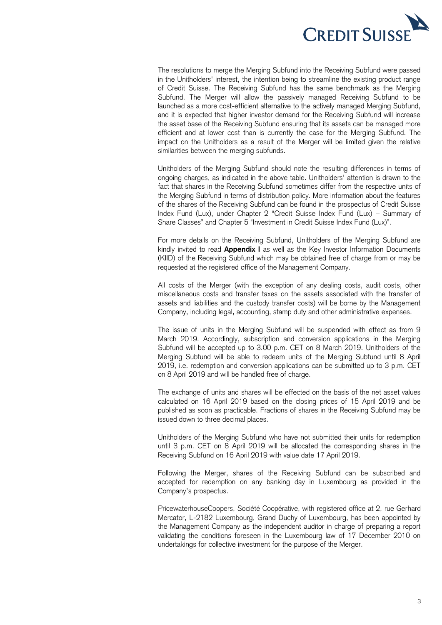

The resolutions to merge the Merging Subfund into the Receiving Subfund were passed in the Unitholders' interest, the intention being to streamline the existing product range of Credit Suisse. The Receiving Subfund has the same benchmark as the Merging Subfund. The Merger will allow the passively managed Receiving Subfund to be launched as a more cost-efficient alternative to the actively managed Merging Subfund, and it is expected that higher investor demand for the Receiving Subfund will increase the asset base of the Receiving Subfund ensuring that its assets can be managed more efficient and at lower cost than is currently the case for the Merging Subfund. The impact on the Unitholders as a result of the Merger will be limited given the relative similarities between the merging subfunds.

Unitholders of the Merging Subfund should note the resulting differences in terms of ongoing charges, as indicated in the above table. Unitholders' attention is drawn to the fact that shares in the Receiving Subfund sometimes differ from the respective units of the Merging Subfund in terms of distribution policy. More information about the features of the shares of the Receiving Subfund can be found in the prospectus of Credit Suisse Index Fund (Lux), under Chapter 2 "Credit Suisse Index Fund (Lux) – Summary of Share Classes" and Chapter 5 "Investment in Credit Suisse Index Fund (Lux)".

For more details on the Receiving Subfund, Unitholders of the Merging Subfund are kindly invited to read **Appendix I** as well as the Key Investor Information Documents (KIID) of the Receiving Subfund which may be obtained free of charge from or may be requested at the registered office of the Management Company.

All costs of the Merger (with the exception of any dealing costs, audit costs, other miscellaneous costs and transfer taxes on the assets associated with the transfer of assets and liabilities and the custody transfer costs) will be borne by the Management Company, including legal, accounting, stamp duty and other administrative expenses.

The issue of units in the Merging Subfund will be suspended with effect as from 9 March 2019. Accordingly, subscription and conversion applications in the Merging Subfund will be accepted up to 3.00 p.m. CET on 8 March 2019. Unitholders of the Merging Subfund will be able to redeem units of the Merging Subfund until 8 April 2019, i.e. redemption and conversion applications can be submitted up to 3 p.m. CET on 8 April 2019 and will be handled free of charge.

The exchange of units and shares will be effected on the basis of the net asset values calculated on 16 April 2019 based on the closing prices of 15 April 2019 and be published as soon as practicable. Fractions of shares in the Receiving Subfund may be issued down to three decimal places.

Unitholders of the Merging Subfund who have not submitted their units for redemption until 3 p.m. CET on 8 April 2019 will be allocated the corresponding shares in the Receiving Subfund on 16 April 2019 with value date 17 April 2019.

Following the Merger, shares of the Receiving Subfund can be subscribed and accepted for redemption on any banking day in Luxembourg as provided in the Company's prospectus.

PricewaterhouseCoopers, Société Coopérative, with registered office at 2, rue Gerhard Mercator, L-2182 Luxembourg, Grand Duchy of Luxembourg, has been appointed by the Management Company as the independent auditor in charge of preparing a report validating the conditions foreseen in the Luxembourg law of 17 December 2010 on undertakings for collective investment for the purpose of the Merger.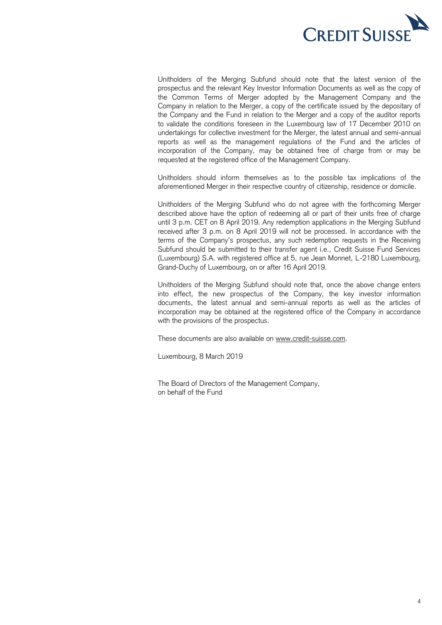

Unitholders of the Merging Subfund should note that the latest version of the prospectus and the relevant Key Investor Information Documents as well as the copy of the Common Terms of Merger adopted by the Management Company and the Company in relation to the Merger, a copy of the certificate issued by the depositary of the Company and the Fund in relation to the Merger and a copy of the auditor reports to validate the conditions foreseen in the Luxembourg law of 17 December 2010 on undertakings for collective investment for the Merger, the latest annual and semi-annual reports as well as the management regulations of the Fund and the articles of incorporation of the Company, may be obtained free of charge from or may be requested at the registered office of the Management Company.

Unitholders should inform themselves as to the possible tax implications of the aforementioned Merger in their respective country of citizenship, residence or domicile.

Unitholders of the Merging Subfund who do not agree with the forthcoming Merger described above have the option of redeeming all or part of their units free of charge until 3 p.m. CET on 8 April 2019. Any redemption applications in the Merging Subfund received after 3 p.m. on 8 April 2019 will not be processed. In accordance with the terms of the Company's prospectus, any such redemption requests in the Receiving Subfund should be submitted to their transfer agent i.e., Credit Suisse Fund Services (Luxembourg) S.A. with registered office at 5, rue Jean Monnet, L-2180 Luxembourg, Grand-Duchy of Luxembourg, on or after 16 April 2019.

Unitholders of the Merging Subfund should note that, once the above change enters into effect, the new prospectus of the Company, the key investor information documents, the latest annual and semi-annual reports as well as the articles of incorporation may be obtained at the registered office of the Company in accordance with the provisions of the prospectus.

These documents are also available on [www.credit-suisse.com.](http://www.credit-suisse.com/)

Luxembourg, 8 March 2019

The Board of Directors of the Management Company, on behalf of the Fund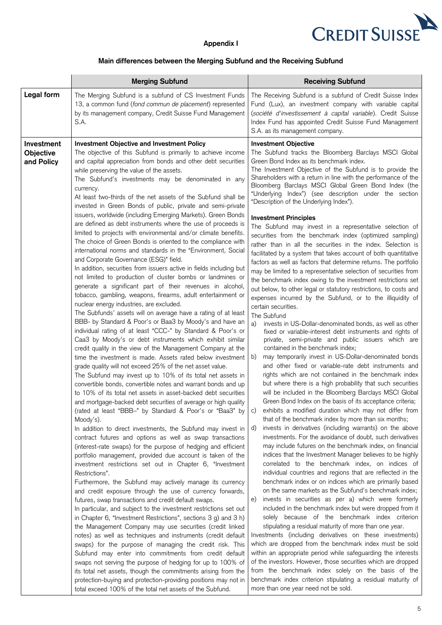

## **Appendix I**

## **Main differences between the Merging Subfund and the Receiving Subfund**

|                                       | <b>Merging Subfund</b>                                                                                                                                                                                                                                                                                                                                                                                                                                                                                                                                                                                                                                                                                                                                                                                                                                                                                                                                                                                                                                                                                                                                                                                                                                                                                                                                                                                                                                                                                                                                                                                                                                                                                                                                                                                                                                                                                                                                                                                                                                                                                                           | <b>Receiving Subfund</b>                                                                                                                                                                                                                                                                                                                                                                                                                                                                                                                                                                                                                                                                                                                                                                                                                                                                                                                                                                                                                                                                                                                                                                                                                                                                                                                                                                                                                                                                                                                                                                                                                                                                                                                                                                                                                                                                                                                                                                                                  |
|---------------------------------------|----------------------------------------------------------------------------------------------------------------------------------------------------------------------------------------------------------------------------------------------------------------------------------------------------------------------------------------------------------------------------------------------------------------------------------------------------------------------------------------------------------------------------------------------------------------------------------------------------------------------------------------------------------------------------------------------------------------------------------------------------------------------------------------------------------------------------------------------------------------------------------------------------------------------------------------------------------------------------------------------------------------------------------------------------------------------------------------------------------------------------------------------------------------------------------------------------------------------------------------------------------------------------------------------------------------------------------------------------------------------------------------------------------------------------------------------------------------------------------------------------------------------------------------------------------------------------------------------------------------------------------------------------------------------------------------------------------------------------------------------------------------------------------------------------------------------------------------------------------------------------------------------------------------------------------------------------------------------------------------------------------------------------------------------------------------------------------------------------------------------------------|---------------------------------------------------------------------------------------------------------------------------------------------------------------------------------------------------------------------------------------------------------------------------------------------------------------------------------------------------------------------------------------------------------------------------------------------------------------------------------------------------------------------------------------------------------------------------------------------------------------------------------------------------------------------------------------------------------------------------------------------------------------------------------------------------------------------------------------------------------------------------------------------------------------------------------------------------------------------------------------------------------------------------------------------------------------------------------------------------------------------------------------------------------------------------------------------------------------------------------------------------------------------------------------------------------------------------------------------------------------------------------------------------------------------------------------------------------------------------------------------------------------------------------------------------------------------------------------------------------------------------------------------------------------------------------------------------------------------------------------------------------------------------------------------------------------------------------------------------------------------------------------------------------------------------------------------------------------------------------------------------------------------------|
| Legal form                            | The Merging Subfund is a subfund of CS Investment Funds<br>13, a common fund (fond commun de placement) represented<br>by its management company, Credit Suisse Fund Management<br>S.A.                                                                                                                                                                                                                                                                                                                                                                                                                                                                                                                                                                                                                                                                                                                                                                                                                                                                                                                                                                                                                                                                                                                                                                                                                                                                                                                                                                                                                                                                                                                                                                                                                                                                                                                                                                                                                                                                                                                                          | The Receiving Subfund is a subfund of Credit Suisse Index<br>Fund (Lux), an investment company with variable capital<br>(société d'investissement à capital variable). Credit Suisse<br>Index Fund has appointed Credit Suisse Fund Management<br>S.A. as its management company.                                                                                                                                                                                                                                                                                                                                                                                                                                                                                                                                                                                                                                                                                                                                                                                                                                                                                                                                                                                                                                                                                                                                                                                                                                                                                                                                                                                                                                                                                                                                                                                                                                                                                                                                         |
| Investment<br>Objective<br>and Policy | <b>Investment Objective and Investment Policy</b><br>The objective of this Subfund is primarily to achieve income<br>and capital appreciation from bonds and other debt securities<br>while preserving the value of the assets.<br>The Subfund's investments may be denominated in any<br>currency.<br>At least two-thirds of the net assets of the Subfund shall be<br>invested in Green Bonds of public, private and semi-private<br>issuers, worldwide (including Emerging Markets). Green Bonds<br>are defined as debt instruments where the use of proceeds is<br>limited to projects with environmental and/or climate benefits.<br>The choice of Green Bonds is oriented to the compliance with<br>international norms and standards in the "Environment, Social<br>and Corporate Governance (ESG)" field.<br>In addition, securities from issuers active in fields including but<br>not limited to production of cluster bombs or landmines or<br>generate a significant part of their revenues in alcohol,<br>tobacco, gambling, weapons, firearms, adult entertainment or<br>nuclear energy industries, are excluded.<br>The Subfunds' assets will on average have a rating of at least<br>BBB- by Standard & Poor's or Baa3 by Moody's and have an<br>individual rating of at least "CCC-" by Standard & Poor's or<br>Caa3 by Moody's or debt instruments which exhibit similar<br>credit quality in the view of the Management Company at the<br>time the investment is made. Assets rated below investment<br>grade quality will not exceed 25% of the net asset value.<br>The Subfund may invest up to 10% of its total net assets in<br>convertible bonds, convertible notes and warrant bonds and up<br>to 10% of its total net assets in asset-backed debt securities<br>and mortgage-backed debt securities of average or high quality<br>(rated at least "BBB-" by Standard & Poor's or "Baa3" by<br>Moody's).<br>In addition to direct investments, the Subfund may invest in<br>contract futures and options as well as swap transactions<br>(interest-rate swaps) for the purpose of hedging and efficient | <b>Investment Objective</b><br>The Subfund tracks the Bloomberg Barclays MSCI Global<br>Green Bond Index as its benchmark index.<br>The Investment Objective of the Subfund is to provide the<br>Shareholders with a return in line with the performance of the<br>Bloomberg Barclays MSCI Global Green Bond Index (the<br>"Underlying Index") (see description under the section<br>"Description of the Underlying Index").<br><b>Investment Principles</b><br>The Subfund may invest in a representative selection of<br>securities from the benchmark index (optimized sampling)<br>rather than in all the securities in the index. Selection is<br>facilitated by a system that takes account of both quantitative<br>factors as well as factors that determine returns. The portfolio<br>may be limited to a representative selection of securities from<br>the benchmark index owing to the investment restrictions set<br>out below, to other legal or statutory restrictions, to costs and<br>expenses incurred by the Subfund, or to the illiquidity of<br>certain securities.<br>The Subfund<br>invests in US-Dollar-denominated bonds, as well as other<br>a)<br>fixed or variable-interest debt instruments and rights of<br>private, semi-private and public issuers which are<br>contained in the benchmark index;<br>may temporarily invest in US-Dollar-denominated bonds<br>b)<br>and other fixed or variable-rate debt instruments and<br>rights which are not contained in the benchmark index<br>but where there is a high probability that such securities<br>will be included in the Bloomberg Barclays MSCI Global<br>Green Bond Index on the basis of its acceptance criteria;<br>exhibits a modified duration which may not differ from<br>C)<br>that of the benchmark index by more than six months;<br>invests in derivatives (including warrants) on the above<br>d)<br>investments. For the avoidance of doubt, such derivatives<br>may include futures on the benchmark index, on financial |
|                                       | portfolio management, provided due account is taken of the<br>investment restrictions set out in Chapter 6, "Investment<br>Restrictions".<br>Furthermore, the Subfund may actively manage its currency<br>and credit exposure through the use of currency forwards,<br>futures, swap transactions and credit default swaps.<br>In particular, and subject to the investment restrictions set out                                                                                                                                                                                                                                                                                                                                                                                                                                                                                                                                                                                                                                                                                                                                                                                                                                                                                                                                                                                                                                                                                                                                                                                                                                                                                                                                                                                                                                                                                                                                                                                                                                                                                                                                 | indices that the Investment Manager believes to be highly<br>correlated to the benchmark index, on indices of<br>individual countries and regions that are reflected in the<br>benchmark index or on indices which are primarily based<br>on the same markets as the Subfund's benchmark index;<br>invests in securities as per a) which were formerly<br>e)<br>included in the benchmark index but were dropped from it                                                                                                                                                                                                                                                                                                                                                                                                                                                                                                                                                                                                                                                                                                                                                                                                                                                                                                                                                                                                                                                                                                                                                                                                                                                                                                                                                                                                                                                                                                                                                                                                  |
|                                       | in Chapter 6, "Investment Restrictions", sections 3 g) and 3 h)<br>the Management Company may use securities (credit linked<br>notes) as well as techniques and instruments (credit default<br>swaps) for the purpose of managing the credit risk. This<br>Subfund may enter into commitments from credit default<br>swaps not serving the purpose of hedging for up to 100% of<br>its total net assets, though the commitments arising from the<br>protection-buying and protection-providing positions may not in<br>total exceed 100% of the total net assets of the Subfund.                                                                                                                                                                                                                                                                                                                                                                                                                                                                                                                                                                                                                                                                                                                                                                                                                                                                                                                                                                                                                                                                                                                                                                                                                                                                                                                                                                                                                                                                                                                                                 | solely because of the benchmark index criterion<br>stipulating a residual maturity of more than one year.<br>Investments (including derivatives on these investments)<br>which are dropped from the benchmark index must be sold<br>within an appropriate period while safeguarding the interests<br>of the investors. However, those securities which are dropped<br>from the benchmark index solely on the basis of the<br>benchmark index criterion stipulating a residual maturity of<br>more than one year need not be sold.                                                                                                                                                                                                                                                                                                                                                                                                                                                                                                                                                                                                                                                                                                                                                                                                                                                                                                                                                                                                                                                                                                                                                                                                                                                                                                                                                                                                                                                                                         |